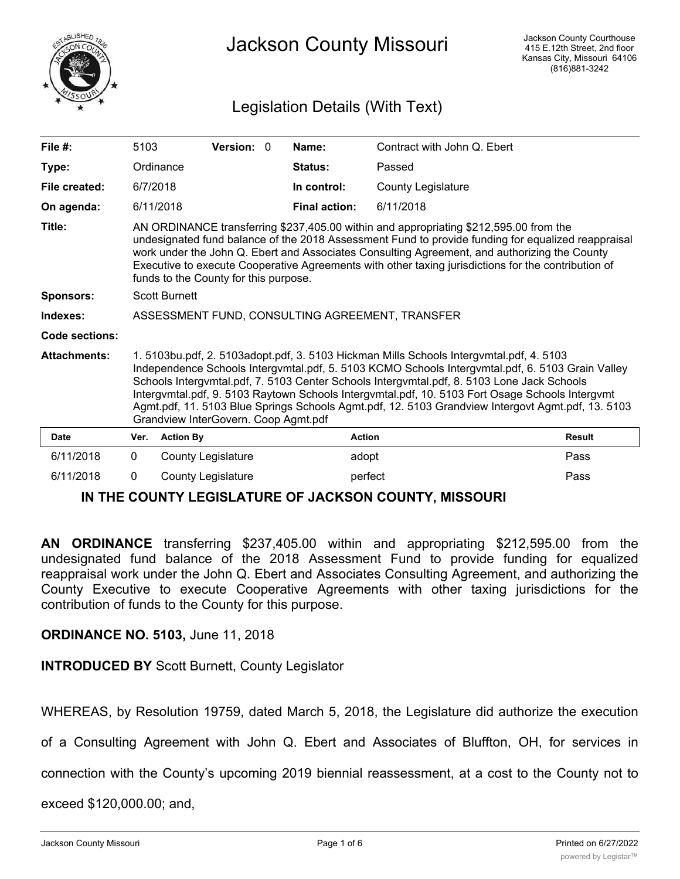

# Jackson County Missouri

## Legislation Details (With Text)

| File $#$ :          | 5103                                                                                                                                                                                                                                                                                                                                                                                                                                                                                                                                      |                           | Version: 0 |  | Name:                | Contract with John Q. Ebert |               |
|---------------------|-------------------------------------------------------------------------------------------------------------------------------------------------------------------------------------------------------------------------------------------------------------------------------------------------------------------------------------------------------------------------------------------------------------------------------------------------------------------------------------------------------------------------------------------|---------------------------|------------|--|----------------------|-----------------------------|---------------|
| Type:               |                                                                                                                                                                                                                                                                                                                                                                                                                                                                                                                                           | Ordinance                 |            |  | Status:              | Passed                      |               |
| File created:       | 6/7/2018                                                                                                                                                                                                                                                                                                                                                                                                                                                                                                                                  |                           |            |  | In control:          | <b>County Legislature</b>   |               |
| On agenda:          |                                                                                                                                                                                                                                                                                                                                                                                                                                                                                                                                           | 6/11/2018                 |            |  | <b>Final action:</b> | 6/11/2018                   |               |
| Title:              | AN ORDINANCE transferring \$237,405.00 within and appropriating \$212,595.00 from the<br>undesignated fund balance of the 2018 Assessment Fund to provide funding for equalized reappraisal<br>work under the John Q. Ebert and Associates Consulting Agreement, and authorizing the County<br>Executive to execute Cooperative Agreements with other taxing jurisdictions for the contribution of<br>funds to the County for this purpose.                                                                                               |                           |            |  |                      |                             |               |
| <b>Sponsors:</b>    | <b>Scott Burnett</b>                                                                                                                                                                                                                                                                                                                                                                                                                                                                                                                      |                           |            |  |                      |                             |               |
| Indexes:            | ASSESSMENT FUND, CONSULTING AGREEMENT, TRANSFER                                                                                                                                                                                                                                                                                                                                                                                                                                                                                           |                           |            |  |                      |                             |               |
| Code sections:      |                                                                                                                                                                                                                                                                                                                                                                                                                                                                                                                                           |                           |            |  |                      |                             |               |
| <b>Attachments:</b> | 1. 5103bu.pdf, 2. 5103adopt.pdf, 3. 5103 Hickman Mills Schools Intergymtal.pdf, 4. 5103<br>Independence Schools Intergymtal.pdf, 5. 5103 KCMO Schools Intergymtal.pdf, 6. 5103 Grain Valley<br>Schools Intergymtal.pdf, 7. 5103 Center Schools Intergymtal.pdf, 8. 5103 Lone Jack Schools<br>Intergymtal.pdf, 9. 5103 Raytown Schools Intergymtal.pdf, 10. 5103 Fort Osage Schools Intergymt<br>Agmt.pdf, 11. 5103 Blue Springs Schools Agmt.pdf, 12. 5103 Grandview Intergovt Agmt.pdf, 13. 5103<br>Grandview InterGovern. Coop Agmt.pdf |                           |            |  |                      |                             |               |
| Date                | Ver.                                                                                                                                                                                                                                                                                                                                                                                                                                                                                                                                      | <b>Action By</b>          |            |  | <b>Action</b>        |                             | <b>Result</b> |
| 6/11/2018           | 0                                                                                                                                                                                                                                                                                                                                                                                                                                                                                                                                         | <b>County Legislature</b> |            |  | adopt                |                             | Pass          |
| 6/11/2018           | 0                                                                                                                                                                                                                                                                                                                                                                                                                                                                                                                                         | <b>County Legislature</b> |            |  | perfect              |                             | Pass          |

### **IN THE COUNTY LEGISLATURE OF JACKSON COUNTY, MISSOURI**

**AN ORDINANCE** transferring \$237,405.00 within and appropriating \$212,595.00 from the undesignated fund balance of the 2018 Assessment Fund to provide funding for equalized reappraisal work under the John Q. Ebert and Associates Consulting Agreement, and authorizing the County Executive to execute Cooperative Agreements with other taxing jurisdictions for the contribution of funds to the County for this purpose.

### **ORDINANCE NO. 5103,** June 11, 2018

**INTRODUCED BY** Scott Burnett, County Legislator

WHEREAS, by Resolution 19759, dated March 5, 2018, the Legislature did authorize the execution

of a Consulting Agreement with John Q. Ebert and Associates of Bluffton, OH, for services in

connection with the County's upcoming 2019 biennial reassessment, at a cost to the County not to

exceed \$120,000.00; and,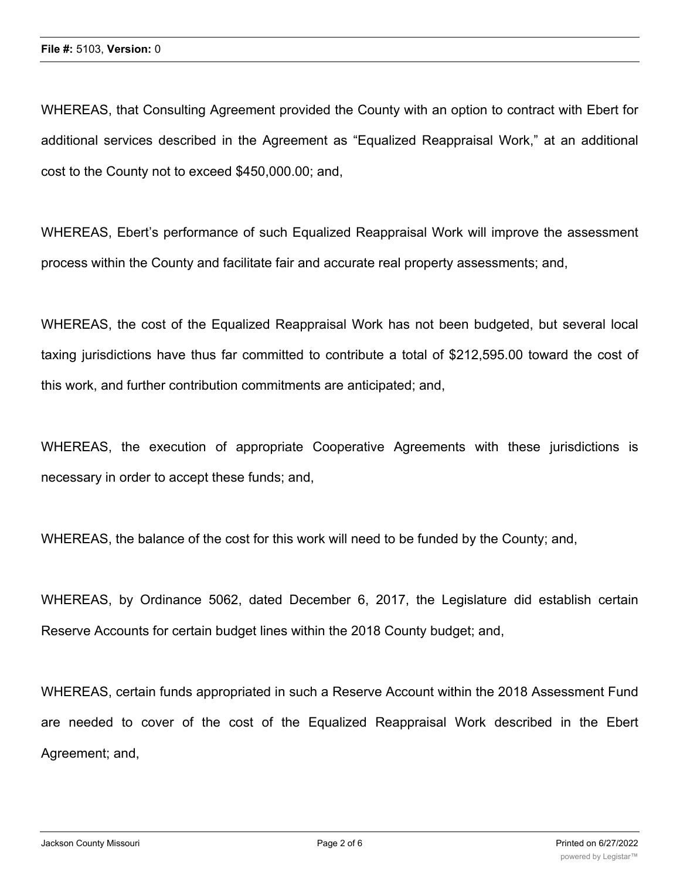WHEREAS, that Consulting Agreement provided the County with an option to contract with Ebert for additional services described in the Agreement as "Equalized Reappraisal Work," at an additional cost to the County not to exceed \$450,000.00; and,

WHEREAS, Ebert's performance of such Equalized Reappraisal Work will improve the assessment process within the County and facilitate fair and accurate real property assessments; and,

WHEREAS, the cost of the Equalized Reappraisal Work has not been budgeted, but several local taxing jurisdictions have thus far committed to contribute a total of \$212,595.00 toward the cost of this work, and further contribution commitments are anticipated; and,

WHEREAS, the execution of appropriate Cooperative Agreements with these jurisdictions is necessary in order to accept these funds; and,

WHEREAS, the balance of the cost for this work will need to be funded by the County; and,

WHEREAS, by Ordinance 5062, dated December 6, 2017, the Legislature did establish certain Reserve Accounts for certain budget lines within the 2018 County budget; and,

WHEREAS, certain funds appropriated in such a Reserve Account within the 2018 Assessment Fund are needed to cover of the cost of the Equalized Reappraisal Work described in the Ebert Agreement; and,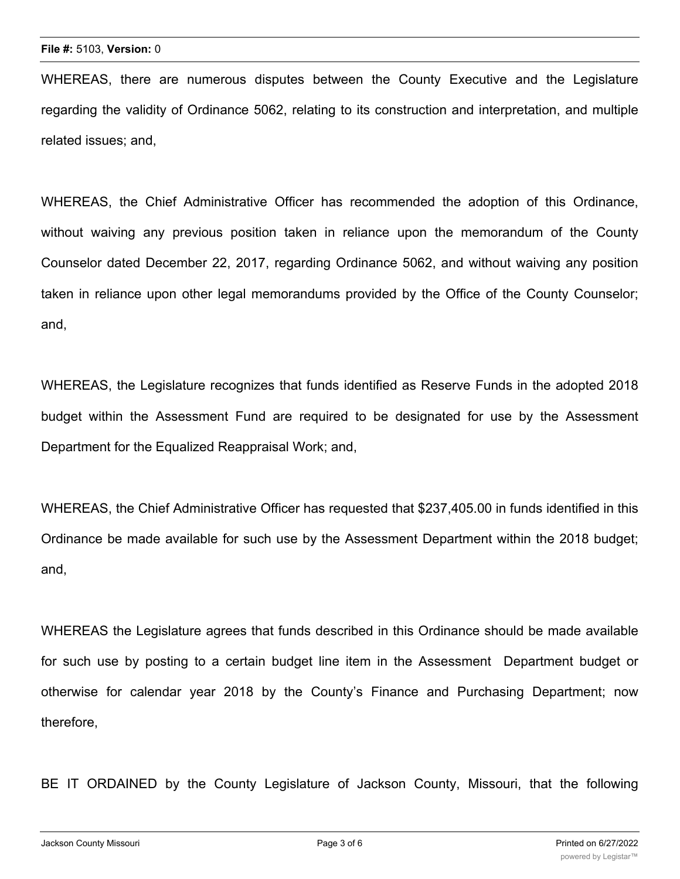WHEREAS, there are numerous disputes between the County Executive and the Legislature regarding the validity of Ordinance 5062, relating to its construction and interpretation, and multiple related issues; and,

WHEREAS, the Chief Administrative Officer has recommended the adoption of this Ordinance, without waiving any previous position taken in reliance upon the memorandum of the County Counselor dated December 22, 2017, regarding Ordinance 5062, and without waiving any position taken in reliance upon other legal memorandums provided by the Office of the County Counselor; and,

WHEREAS, the Legislature recognizes that funds identified as Reserve Funds in the adopted 2018 budget within the Assessment Fund are required to be designated for use by the Assessment Department for the Equalized Reappraisal Work; and,

WHEREAS, the Chief Administrative Officer has requested that \$237,405.00 in funds identified in this Ordinance be made available for such use by the Assessment Department within the 2018 budget; and,

WHEREAS the Legislature agrees that funds described in this Ordinance should be made available for such use by posting to a certain budget line item in the Assessment Department budget or otherwise for calendar year 2018 by the County's Finance and Purchasing Department; now therefore,

BE IT ORDAINED by the County Legislature of Jackson County, Missouri, that the following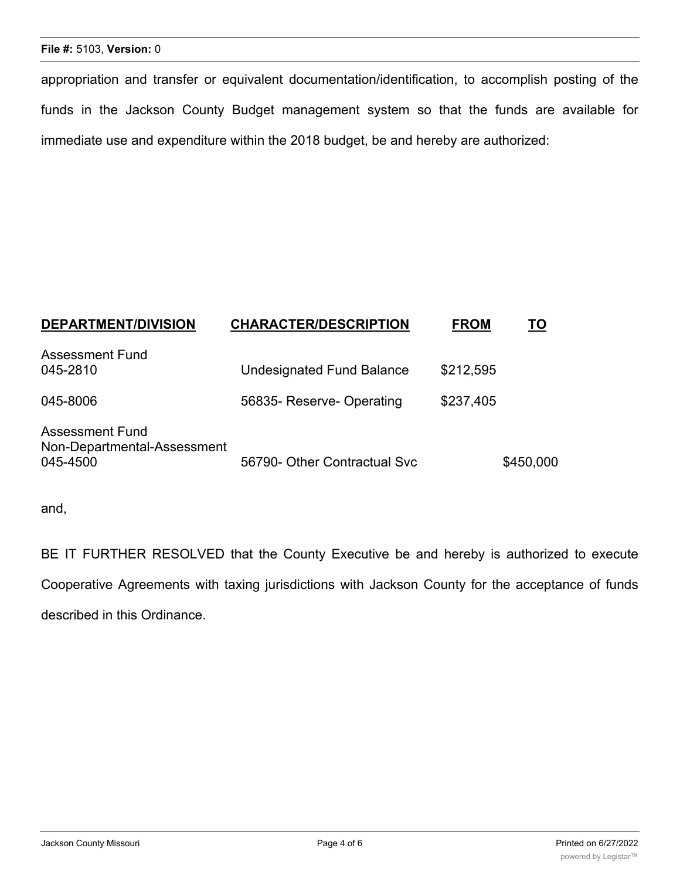#### **File #:** 5103, **Version:** 0

appropriation and transfer or equivalent documentation/identification, to accomplish posting of the funds in the Jackson County Budget management system so that the funds are available for immediate use and expenditure within the 2018 budget, be and hereby are authorized:

| <b>DEPARTMENT/DIVISION</b>                                        | <b>CHARACTER/DESCRIPTION</b>     | <b>FROM</b> | TO        |
|-------------------------------------------------------------------|----------------------------------|-------------|-----------|
| <b>Assessment Fund</b><br>045-2810                                | <b>Undesignated Fund Balance</b> | \$212,595   |           |
| 045-8006                                                          | 56835- Reserve- Operating        | \$237,405   |           |
| <b>Assessment Fund</b><br>Non-Departmental-Assessment<br>045-4500 | 56790- Other Contractual Svc     |             | \$450,000 |

and,

BE IT FURTHER RESOLVED that the County Executive be and hereby is authorized to execute Cooperative Agreements with taxing jurisdictions with Jackson County for the acceptance of funds described in this Ordinance.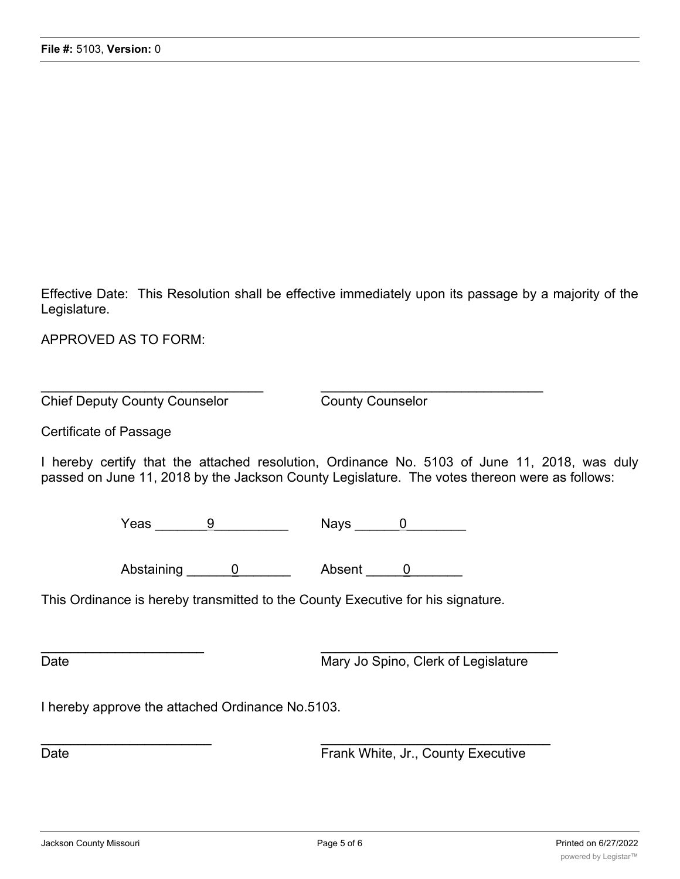Effective Date: This Resolution shall be effective immediately upon its passage by a majority of the Legislature.

APPROVED AS TO FORM:

**Chief Deputy County Counselor** County Counselor

Certificate of Passage

I hereby certify that the attached resolution, Ordinance No. 5103 of June 11, 2018, was duly passed on June 11, 2018 by the Jackson County Legislature. The votes thereon were as follows:

Yeas  $\frac{9}{2}$  Nays  $\frac{0}{2}$ 

 $\_$  , and the contribution of the contribution of  $\mathcal{L}_\mathcal{A}$  , and the contribution of  $\mathcal{L}_\mathcal{A}$ 

Abstaining 0 Absent 0

 $\overline{\phantom{a}}$  , and the contract of the contract of the contract of the contract of the contract of the contract of the contract of the contract of the contract of the contract of the contract of the contract of the contrac

This Ordinance is hereby transmitted to the County Executive for his signature.

Date **Date** Mary Jo Spino, Clerk of Legislature

I hereby approve the attached Ordinance No.5103.

 $\frac{1}{2}$  ,  $\frac{1}{2}$  ,  $\frac{1}{2}$  ,  $\frac{1}{2}$  ,  $\frac{1}{2}$  ,  $\frac{1}{2}$  ,  $\frac{1}{2}$  ,  $\frac{1}{2}$  ,  $\frac{1}{2}$  ,  $\frac{1}{2}$  ,  $\frac{1}{2}$  ,  $\frac{1}{2}$  ,  $\frac{1}{2}$  ,  $\frac{1}{2}$  ,  $\frac{1}{2}$  ,  $\frac{1}{2}$  ,  $\frac{1}{2}$  ,  $\frac{1}{2}$  ,  $\frac{1$ Date **Date Executive Executive Frank White, Jr., County Executive**